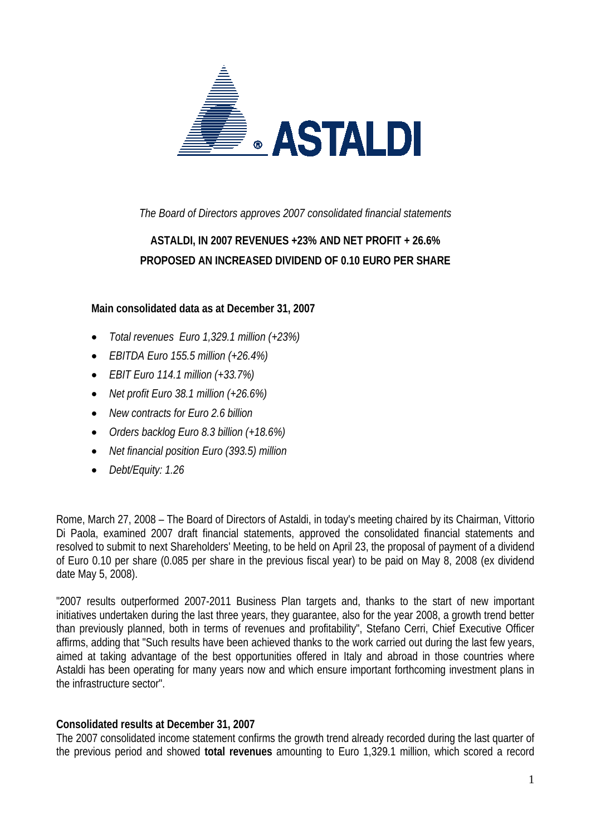

*The Board of Directors approves 2007 consolidated financial statements* 

## **ASTALDI, IN 2007 REVENUES +23% AND NET PROFIT + 26.6% PROPOSED AN INCREASED DIVIDEND OF 0.10 EURO PER SHARE**

#### **Main consolidated data as at December 31, 2007**

- *Total revenues Euro 1,329.1 million (+23%)*
- *EBITDA Euro 155.5 million (+26.4%)*
- *EBIT Euro 114.1 million (+33.7%)*
- *Net profit Euro 38.1 million (+26.6%)*
- *New contracts for Euro 2.6 billion*
- *Orders backlog Euro 8.3 billion (+18.6%)*
- *Net financial position Euro (393.5) million*
- *Debt/Equity: 1.26*

Rome, March 27, 2008 – The Board of Directors of Astaldi, in today's meeting chaired by its Chairman, Vittorio Di Paola, examined 2007 draft financial statements, approved the consolidated financial statements and resolved to submit to next Shareholders' Meeting, to be held on April 23, the proposal of payment of a dividend of Euro 0.10 per share (0.085 per share in the previous fiscal year) to be paid on May 8, 2008 (ex dividend date May 5, 2008).

"2007 results outperformed 2007-2011 Business Plan targets and, thanks to the start of new important initiatives undertaken during the last three years, they guarantee, also for the year 2008, a growth trend better than previously planned, both in terms of revenues and profitability", Stefano Cerri, Chief Executive Officer affirms, adding that "Such results have been achieved thanks to the work carried out during the last few years, aimed at taking advantage of the best opportunities offered in Italy and abroad in those countries where Astaldi has been operating for many years now and which ensure important forthcoming investment plans in the infrastructure sector".

#### **Consolidated results at December 31, 2007**

The 2007 consolidated income statement confirms the growth trend already recorded during the last quarter of the previous period and showed **total revenues** amounting to Euro 1,329.1 million, which scored a record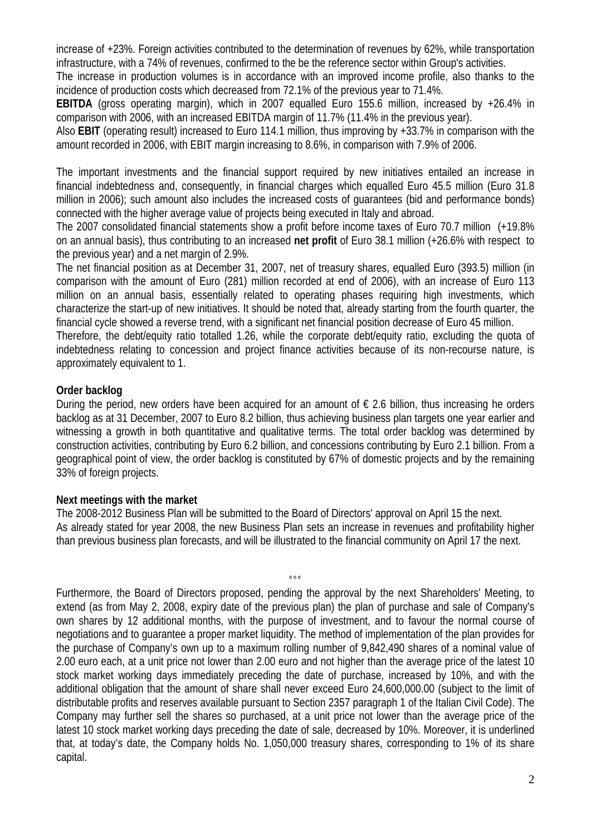increase of +23%. Foreign activities contributed to the determination of revenues by 62%, while transportation infrastructure, with a 74% of revenues, confirmed to the be the reference sector within Group's activities.

The increase in production volumes is in accordance with an improved income profile, also thanks to the incidence of production costs which decreased from 72.1% of the previous year to 71.4%.

**EBITDA** (gross operating margin), which in 2007 equalled Euro 155.6 million, increased by +26.4% in comparison with 2006, with an increased EBITDA margin of 11.7% (11.4% in the previous year).

Also **EBIT** (operating result) increased to Euro 114.1 million, thus improving by +33.7% in comparison with the amount recorded in 2006, with EBIT margin increasing to 8.6%, in comparison with 7.9% of 2006.

The important investments and the financial support required by new initiatives entailed an increase in financial indebtedness and, consequently, in financial charges which equalled Euro 45.5 million (Euro 31.8 million in 2006); such amount also includes the increased costs of guarantees (bid and performance bonds) connected with the higher average value of projects being executed in Italy and abroad.

The 2007 consolidated financial statements show a profit before income taxes of Euro 70.7 million (+19.8% on an annual basis), thus contributing to an increased **net profit** of Euro 38.1 million (+26.6% with respect to the previous year) and a net margin of 2.9%.

The net financial position as at December 31, 2007, net of treasury shares, equalled Euro (393.5) million (in comparison with the amount of Euro (281) million recorded at end of 2006), with an increase of Euro 113 million on an annual basis, essentially related to operating phases requiring high investments, which characterize the start-up of new initiatives. It should be noted that, already starting from the fourth quarter, the financial cycle showed a reverse trend, with a significant net financial position decrease of Euro 45 million.

Therefore, the debt/equity ratio totalled 1.26, while the corporate debt/equity ratio, excluding the quota of indebtedness relating to concession and project finance activities because of its non-recourse nature, is approximately equivalent to 1.

### **Order backlog**

During the period, new orders have been acquired for an amount of  $\epsilon$  2.6 billion, thus increasing he orders backlog as at 31 December, 2007 to Euro 8.2 billion, thus achieving business plan targets one year earlier and witnessing a growth in both quantitative and qualitative terms. The total order backlog was determined by construction activities, contributing by Euro 6.2 billion, and concessions contributing by Euro 2.1 billion. From a geographical point of view, the order backlog is constituted by 67% of domestic projects and by the remaining 33% of foreign projects.

#### **Next meetings with the market**

The 2008-2012 Business Plan will be submitted to the Board of Directors' approval on April 15 the next. As already stated for year 2008, the new Business Plan sets an increase in revenues and profitability higher than previous business plan forecasts, and will be illustrated to the financial community on April 17 the next.

°°° Furthermore, the Board of Directors proposed, pending the approval by the next Shareholders' Meeting, to extend (as from May 2, 2008, expiry date of the previous plan) the plan of purchase and sale of Company's own shares by 12 additional months, with the purpose of investment, and to favour the normal course of negotiations and to guarantee a proper market liquidity. The method of implementation of the plan provides for the purchase of Company's own up to a maximum rolling number of 9,842,490 shares of a nominal value of 2.00 euro each, at a unit price not lower than 2.00 euro and not higher than the average price of the latest 10 stock market working days immediately preceding the date of purchase, increased by 10%, and with the additional obligation that the amount of share shall never exceed Euro 24,600,000.00 (subject to the limit of distributable profits and reserves available pursuant to Section 2357 paragraph 1 of the Italian Civil Code). The Company may further sell the shares so purchased, at a unit price not lower than the average price of the latest 10 stock market working days preceding the date of sale, decreased by 10%. Moreover, it is underlined that, at today's date, the Company holds No. 1,050,000 treasury shares, corresponding to 1% of its share capital.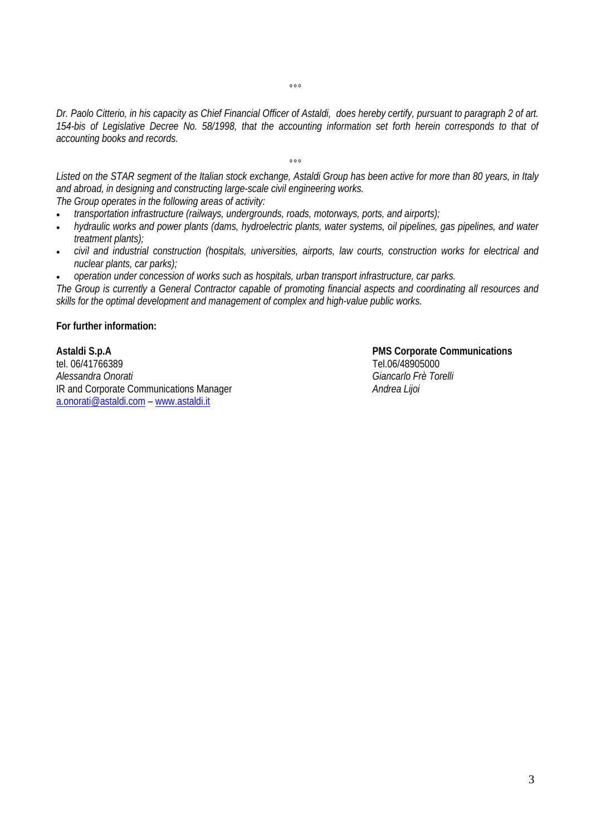*Dr. Paolo Citterio, in his capacity as Chief Financial Officer of Astaldi, does hereby certify, pursuant to paragraph 2 of art. 154-bis of Legislative Decree No. 58/1998, that the accounting information set forth herein corresponds to that of accounting books and records.* 

 $0.00$ 

*Listed on the STAR segment of the Italian stock exchange, Astaldi Group has been active for more than 80 years, in Italy and abroad, in designing and constructing large-scale civil engineering works. The Group operates in the following areas of activity:* 

*°°°* 

- *transportation infrastructure (railways, undergrounds, roads, motorways, ports, and airports);*
- *hydraulic works and power plants (dams, hydroelectric plants, water systems, oil pipelines, gas pipelines, and water treatment plants);*
- *civil and industrial construction (hospitals, universities, airports, law courts, construction works for electrical and nuclear plants, car parks);*
- *operation under concession of works such as hospitals, urban transport infrastructure, car parks.*

*The Group is currently a General Contractor capable of promoting financial aspects and coordinating all resources and skills for the optimal development and management of complex and high-value public works.* 

**For further information:** 

Astaldi S.p.A **PMS Corporate Communications**<br>tel. 06/41766389 tel. 06/41766389 *Alessandra Onorati Giancarlo Frè Torelli* IR and Corporate Communications Manager *Andrea Lijoi*  a.onorati@astaldi.com – www.astaldi.it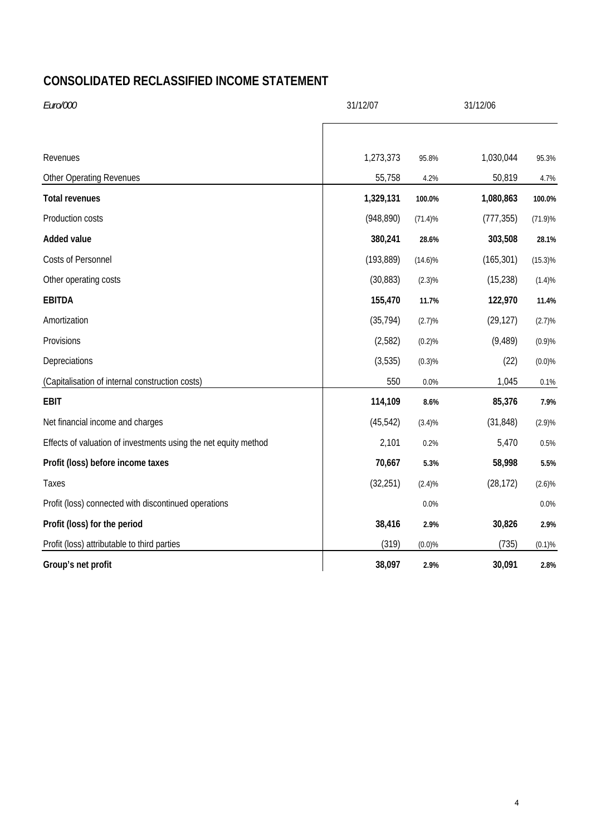## **CONSOLIDATED RECLASSIFIED INCOME STATEMENT**

| Euro/000                                                        | 31/12/07   |            | 31/12/06   |            |
|-----------------------------------------------------------------|------------|------------|------------|------------|
|                                                                 |            |            |            |            |
| Revenues                                                        | 1,273,373  | 95.8%      | 1,030,044  | 95.3%      |
| <b>Other Operating Revenues</b>                                 | 55,758     | 4.2%       | 50,819     | 4.7%       |
| <b>Total revenues</b>                                           | 1,329,131  | 100.0%     | 1,080,863  | 100.0%     |
| Production costs                                                | (948, 890) | (71.4)%    | (777, 355) | $(71.9)\%$ |
| <b>Added value</b>                                              | 380,241    | 28.6%      | 303,508    | 28.1%      |
| Costs of Personnel                                              | (193, 889) | $(14.6)\%$ | (165, 301) | (15.3)%    |
| Other operating costs                                           | (30, 883)  | $(2.3)\%$  | (15, 238)  | (1.4)%     |
| <b>EBITDA</b>                                                   | 155,470    | 11.7%      | 122,970    | 11.4%      |
| Amortization                                                    | (35, 794)  | (2.7)%     | (29, 127)  | (2.7)%     |
| Provisions                                                      | (2,582)    | (0.2)%     | (9, 489)   | (0.9)%     |
| Depreciations                                                   | (3,535)    | (0.3)%     | (22)       | (0.0)%     |
| (Capitalisation of internal construction costs)                 | 550        | 0.0%       | 1,045      | 0.1%       |
| <b>EBIT</b>                                                     | 114,109    | 8.6%       | 85,376     | 7.9%       |
| Net financial income and charges                                | (45, 542)  | (3.4)%     | (31, 848)  | (2.9)%     |
| Effects of valuation of investments using the net equity method | 2,101      | 0.2%       | 5,470      | 0.5%       |
| Profit (loss) before income taxes                               | 70,667     | 5.3%       | 58,998     | 5.5%       |
| Taxes                                                           | (32, 251)  | (2.4)%     | (28, 172)  | (2.6)%     |
| Profit (loss) connected with discontinued operations            |            | 0.0%       |            | 0.0%       |
| Profit (loss) for the period                                    | 38,416     | 2.9%       | 30,826     | 2.9%       |
| Profit (loss) attributable to third parties                     | (319)      | (0.0)%     | (735)      | (0.1)%     |
| Group's net profit                                              | 38,097     | 2.9%       | 30,091     | 2.8%       |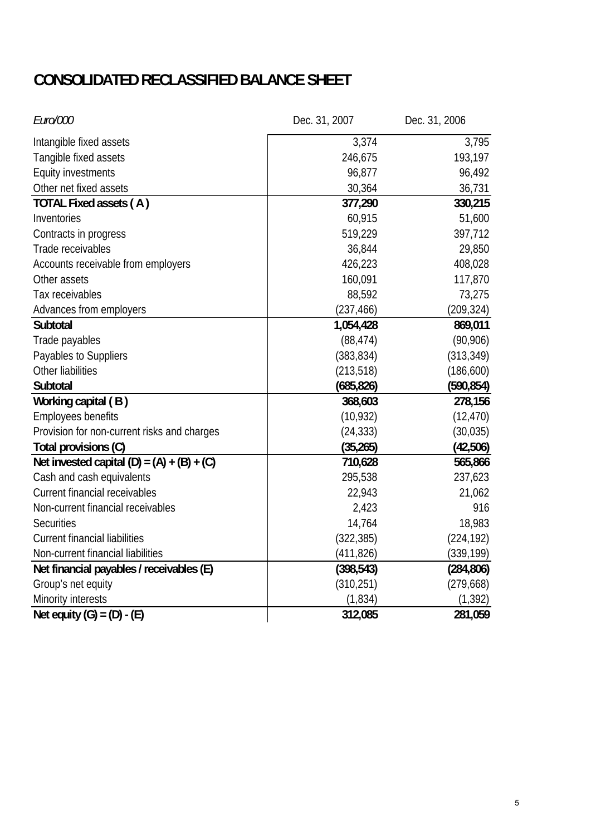# **CONSOLIDATED RECLASSIFIED BALANCE SHEET**

| Euro/000                                     | Dec. 31, 2007 | Dec. 31, 2006 |  |
|----------------------------------------------|---------------|---------------|--|
| Intangible fixed assets                      | 3,374         | 3,795         |  |
| Tangible fixed assets                        | 246,675       | 193,197       |  |
| <b>Equity investments</b>                    | 96,877        | 96,492        |  |
| Other net fixed assets                       | 30,364        | 36,731        |  |
| TOTAL Fixed assets (A)                       | 377,290       | 330,215       |  |
| Inventories                                  | 60,915        | 51,600        |  |
| Contracts in progress                        | 519,229       | 397,712       |  |
| Trade receivables                            | 36,844        | 29,850        |  |
| Accounts receivable from employers           | 426,223       | 408,028       |  |
| Other assets                                 | 160,091       | 117,870       |  |
| Tax receivables                              | 88,592        | 73,275        |  |
| Advances from employers                      | (237, 466)    | (209, 324)    |  |
| Subtotal                                     | 1,054,428     | 869,011       |  |
| Trade payables                               | (88, 474)     | (90, 906)     |  |
| Payables to Suppliers                        | (383, 834)    | (313, 349)    |  |
| Other liabilities                            | (213, 518)    | (186, 600)    |  |
| Subtotal                                     | (685, 826)    | (590, 854)    |  |
| Working capital (B)                          | 368,603       | 278,156       |  |
| Employees benefits                           | (10, 932)     | (12, 470)     |  |
| Provision for non-current risks and charges  | (24, 333)     | (30, 035)     |  |
| Total provisions (C)                         | (35, 265)     | (42,506)      |  |
| Net invested capital $(D) = (A) + (B) + (C)$ | 710,628       | 565,866       |  |
| Cash and cash equivalents                    | 295,538       | 237,623       |  |
| <b>Current financial receivables</b>         | 22,943        | 21,062        |  |
| Non-current financial receivables            | 2,423         | 916           |  |
| <b>Securities</b>                            | 14,764        | 18,983        |  |
| <b>Current financial liabilities</b>         | (322, 385)    | (224, 192)    |  |
| Non-current financial liabilities            | (411, 826)    | (339, 199)    |  |
| Net financial payables / receivables (E)     | (398, 543)    | (284, 806)    |  |
| Group's net equity                           | (310, 251)    | (279, 668)    |  |
| Minority interests                           | (1,834)       | (1, 392)      |  |
| Net equity $(G) = (D) - (E)$                 | 312,085       | 281,059       |  |